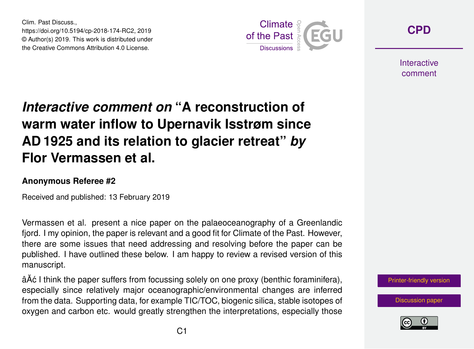Clim. Past Discuss., https://doi.org/10.5194/cp-2018-174-RC2, 2019 © Author(s) 2019. This work is distributed under the Creative Commons Attribution 4.0 License.



**[CPD](https://www.clim-past-discuss.net/)**

**Interactive** comment

## *Interactive comment on* **"A reconstruction of warm water inflow to Upernavik Isstrøm since AD 1925 and its relation to glacier retreat"** *by* **Flor Vermassen et al.**

## **Anonymous Referee #2**

Received and published: 13 February 2019

Vermassen et al. present a nice paper on the palaeoceanography of a Greenlandic fjord. I my opinion, the paper is relevant and a good fit for Climate of the Past. However, there are some issues that need addressing and resolving before the paper can be published. I have outlined these below. I am happy to review a revised version of this manuscript.

âĂć I think the paper suffers from focussing solely on one proxy (benthic foraminifera), especially since relatively major oceanographic/environmental changes are inferred from the data. Supporting data, for example TIC/TOC, biogenic silica, stable isotopes of oxygen and carbon etc. would greatly strengthen the interpretations, especially those



[Discussion paper](https://www.clim-past-discuss.net/cp-2018-174)

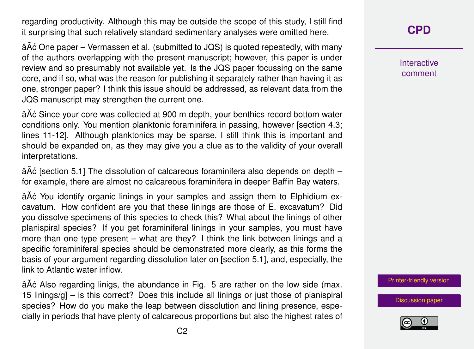regarding productivity. Although this may be outside the scope of this study, I still find it surprising that such relatively standard sedimentary analyses were omitted here.

 $\hat{a}$  A $\hat{c}$  One paper – Vermassen et al. (submitted to JQS) is quoted repeatedly, with many of the authors overlapping with the present manuscript; however, this paper is under review and so presumably not available yet. Is the JQS paper focussing on the same core, and if so, what was the reason for publishing it separately rather than having it as one, stronger paper? I think this issue should be addressed, as relevant data from the JQS manuscript may strengthen the current one.

âĂć Since your core was collected at 900 m depth, your benthics record bottom water conditions only. You mention planktonic foraminifera in passing, however [section 4.3; lines 11-12]. Although planktonics may be sparse, I still think this is important and should be expanded on, as they may give you a clue as to the validity of your overall interpretations.

 $\hat{a}$ Å $\hat{c}$  [section 5.1] The dissolution of calcareous foraminifera also depends on depth – for example, there are almost no calcareous foraminifera in deeper Baffin Bay waters.

â $\tilde{A}$ ć You identify organic linings in your samples and assign them to Elphidium excavatum. How confident are you that these linings are those of E. excavatum? Did you dissolve specimens of this species to check this? What about the linings of other planispiral species? If you get foraminiferal linings in your samples, you must have more than one type present – what are they? I think the link between linings and a specific foraminiferal species should be demonstrated more clearly, as this forms the basis of your argument regarding dissolution later on [section 5.1], and, especially, the link to Atlantic water inflow.

â $\tilde{A}$ ć Also regarding linigs, the abundance in Fig. 5 are rather on the low side (max. 15 linings/g] – is this correct? Does this include all linings or just those of planispiral species? How do you make the leap between dissolution and lining presence, especially in periods that have plenty of calcareous proportions but also the highest rates of **[CPD](https://www.clim-past-discuss.net/)**

Interactive comment

[Printer-friendly version](https://www.clim-past-discuss.net/cp-2018-174/cp-2018-174-RC2-print.pdf)

[Discussion paper](https://www.clim-past-discuss.net/cp-2018-174)